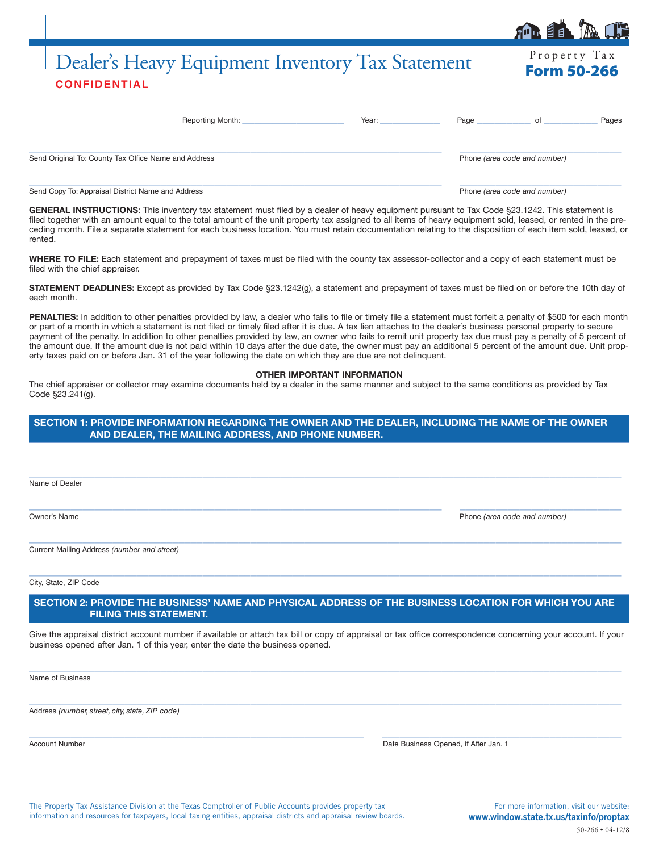# Dealer's Heavy Equipment Inventory Tax Statement Form 50-266 **CONFIDENTIAL**

| <b>Reporting Month:</b>                              | Year: | Page | οt                           | Pages |
|------------------------------------------------------|-------|------|------------------------------|-------|
| Send Original To: County Tax Office Name and Address |       |      | Phone (area code and number) |       |
| Send Copy To: Appraisal District Name and Address    |       |      | Phone (area code and number) |       |

GENERAL INSTRUCTIONS: This inventory tax statement must filed by a dealer of heavy equipment pursuant to Tax Code §23.1242. This statement is filed together with an amount equal to the total amount of the unit property tax assigned to all items of heavy equipment sold, leased, or rented in the preceding month. File a separate statement for each business location. You must retain documentation relating to the disposition of each item sold, leased, or rented.

**WHERE TO FILE:** Each statement and prepayment of taxes must be filed with the county tax assessor-collector and a copy of each statement must be filed with the chief appraiser.

**STATEMENT DEADLINES:** Except as provided by Tax Code §23.1242(g), a statement and prepayment of taxes must be filed on or before the 10th day of each month.

PENALTIES: In addition to other penalties provided by law, a dealer who fails to file or timely file a statement must forfeit a penalty of \$500 for each month or part of a month in which a statement is not filed or timely filed after it is due. A tax lien attaches to the dealer's business personal property to secure payment of the penalty. In addition to other penalties provided by law, an owner who fails to remit unit property tax due must pay a penalty of 5 percent of the amount due. If the amount due is not paid within 10 days after the due date, the owner must pay an additional 5 percent of the amount due. Unit property taxes paid on or before Jan. 31 of the year following the date on which they are due are not delinquent.

#### **OTHER IMPORTANT INFORMATION**

The chief appraiser or collector may examine documents held by a dealer in the same manner and subject to the same conditions as provided by Tax Code §23.241(g).

## **SECTION 1: PROVIDE INFORMATION REGARDING THE OWNER AND THE DEALER, INCLUDING THE NAME OF THE OWNER AND DEALER, THE MAILING ADDRESS, AND PHONE NUMBER.**

 $\_$  ,  $\_$  ,  $\_$  ,  $\_$  ,  $\_$  ,  $\_$  ,  $\_$  ,  $\_$  ,  $\_$  ,  $\_$  ,  $\_$  ,  $\_$  ,  $\_$  ,  $\_$  ,  $\_$  ,  $\_$  ,  $\_$  ,  $\_$  ,  $\_$  ,  $\_$  ,  $\_$  ,  $\_$  ,  $\_$  ,  $\_$  ,  $\_$  ,  $\_$  ,  $\_$  ,  $\_$  ,  $\_$  ,  $\_$  ,  $\_$  ,  $\_$  ,  $\_$  ,  $\_$  ,  $\_$  ,  $\_$  ,  $\_$  ,

 $\_$  ,  $\_$  ,  $\_$  ,  $\_$  ,  $\_$  ,  $\_$  ,  $\_$  ,  $\_$  ,  $\_$  ,  $\_$  ,  $\_$  ,  $\_$  ,  $\_$  ,  $\_$  ,  $\_$  ,  $\_$  ,  $\_$  ,  $\_$  ,  $\_$  ,  $\_$  ,  $\_$  ,  $\_$  ,  $\_$  ,  $\_$  ,  $\_$  ,  $\_$  ,  $\_$  ,  $\_$  ,  $\_$  ,  $\_$  ,  $\_$  ,  $\_$  ,  $\_$  ,  $\_$  ,  $\_$  ,  $\_$  ,  $\_$  ,

 $\_$  , and the set of the set of the set of the set of the set of the set of the set of the set of the set of the set of the set of the set of the set of the set of the set of the set of the set of the set of the set of th

 $\_$  , and the set of the set of the set of the set of the set of the set of the set of the set of the set of the set of the set of the set of the set of the set of the set of the set of the set of the set of the set of th

Name of Dealer

Owner's Name Phone *(area code and number)*

Current Mailing Address *(number and street)*

City, State, ZIP Code

# **SECTION 2: PROVIDE THE BUSINESS' NAME AND PHYSICAL ADDRESS OF THE BUSINESS LOCATION FOR WHICH YOU ARE FILING THIS STATEMENT.**

Give the appraisal district account number if available or attach tax bill or copy of appraisal or tax office correspondence concerning your account. If your business opened after Jan. 1 of this year, enter the date the business opened.

 $\_$  , and the set of the set of the set of the set of the set of the set of the set of the set of the set of the set of the set of the set of the set of the set of the set of the set of the set of the set of the set of th

 $\_$  , and the set of the set of the set of the set of the set of the set of the set of the set of the set of the set of the set of the set of the set of the set of the set of the set of the set of the set of the set of th

 $\_$  ,  $\_$  ,  $\_$  ,  $\_$  ,  $\_$  ,  $\_$  ,  $\_$  ,  $\_$  ,  $\_$  ,  $\_$  ,  $\_$  ,  $\_$  ,  $\_$  ,  $\_$  ,  $\_$  ,  $\_$  ,  $\_$  ,  $\_$  ,  $\_$  ,  $\_$  ,  $\_$  ,  $\_$  ,  $\_$  ,  $\_$  ,  $\_$  ,  $\_$  ,  $\_$  ,  $\_$  ,  $\_$  ,  $\_$  ,  $\_$  ,  $\_$  ,  $\_$  ,  $\_$  ,  $\_$  ,  $\_$  ,  $\_$  ,

Name of Business

Address *(number, street, city, state, ZIP code)*

| Account Number | Date Business Opened, if After Jan. 1 |
|----------------|---------------------------------------|
|----------------|---------------------------------------|

The Property Tax Assistance Division at the Texas Comptroller of Public Accounts provides property tax information and resources for taxpayers, local taxing entities, appraisal districts and appraisal review boards.

For more information, visit our website: www.window.state.tx.us/taxinfo/proptax 50-266 • 04-12/8

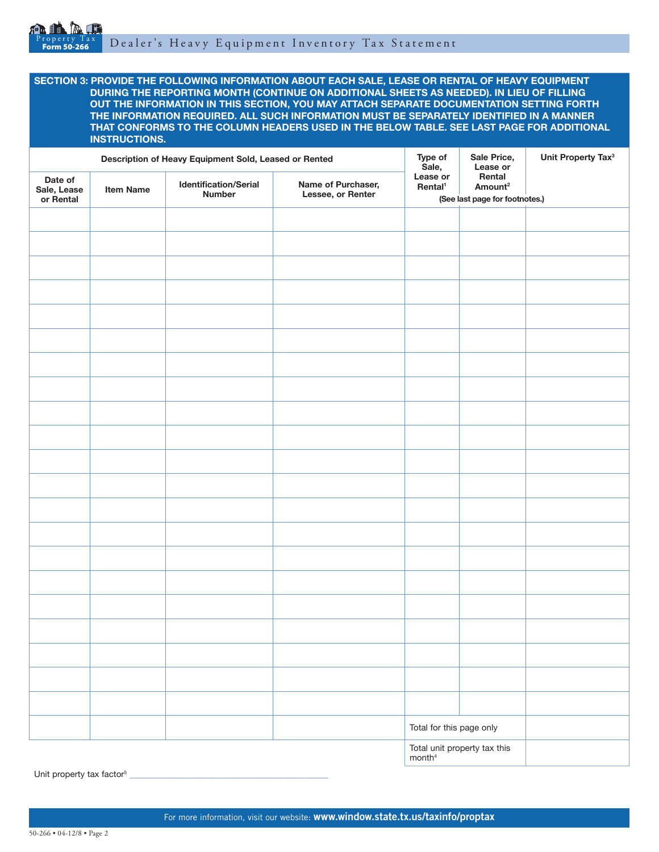

**SECTION 3: PROVIDE THE FOLLOWING INFORMATION ABOUT EACH SALE, LEASE OR RENTAL OF HEAVY EQUIPMENT DURING THE REPORTING MONTH (CONTINUE ON ADDITIONAL SHEETS AS NEEDED). IN LIEU OF FILLING OUT THE INFORMATION IN THIS SECTION, YOU MAY ATTACH SEPARATE DOCUMENTATION SETTING FORTH THE INFORMATION REQUIRED. ALL SUCH INFORMATION MUST BE SEPARATELY IDENTIFIED IN A MANNER THAT CONFORMS TO THE COLUMN HEADERS USED IN THE BELOW TABLE. SEE LAST PAGE FOR ADDITIONAL INSTRUCTIONS.**

| Description of Heavy Equipment Sold, Leased or Rented |                  |                                               | Type of<br>Sale,                        | Sale Price,<br>Lease or         | Unit Property Tax <sup>3</sup>                                  |  |  |
|-------------------------------------------------------|------------------|-----------------------------------------------|-----------------------------------------|---------------------------------|-----------------------------------------------------------------|--|--|
| Date of<br>Sale, Lease<br>or Rental                   | <b>Item Name</b> | <b>Identification/Serial</b><br><b>Number</b> | Name of Purchaser,<br>Lessee, or Renter | Lease or<br>Rental <sup>1</sup> | Rental<br>Amount <sup>2</sup><br>(See last page for footnotes.) |  |  |
|                                                       |                  |                                               |                                         |                                 |                                                                 |  |  |
|                                                       |                  |                                               |                                         |                                 |                                                                 |  |  |
|                                                       |                  |                                               |                                         |                                 |                                                                 |  |  |
|                                                       |                  |                                               |                                         |                                 |                                                                 |  |  |
|                                                       |                  |                                               |                                         |                                 |                                                                 |  |  |
|                                                       |                  |                                               |                                         |                                 |                                                                 |  |  |
|                                                       |                  |                                               |                                         |                                 |                                                                 |  |  |
|                                                       |                  |                                               |                                         |                                 |                                                                 |  |  |
|                                                       |                  |                                               |                                         |                                 |                                                                 |  |  |
|                                                       |                  |                                               |                                         |                                 |                                                                 |  |  |
|                                                       |                  |                                               |                                         |                                 |                                                                 |  |  |
|                                                       |                  |                                               |                                         |                                 |                                                                 |  |  |
|                                                       |                  |                                               |                                         |                                 |                                                                 |  |  |
|                                                       |                  |                                               |                                         |                                 |                                                                 |  |  |
|                                                       |                  |                                               |                                         |                                 |                                                                 |  |  |
|                                                       |                  |                                               |                                         |                                 |                                                                 |  |  |
|                                                       |                  |                                               |                                         |                                 |                                                                 |  |  |
|                                                       |                  |                                               |                                         |                                 |                                                                 |  |  |
|                                                       |                  |                                               |                                         |                                 |                                                                 |  |  |
|                                                       |                  |                                               |                                         |                                 |                                                                 |  |  |
|                                                       |                  |                                               |                                         |                                 |                                                                 |  |  |
|                                                       |                  |                                               |                                         |                                 |                                                                 |  |  |
|                                                       |                  |                                               |                                         |                                 |                                                                 |  |  |
|                                                       |                  |                                               |                                         | Total for this page only        |                                                                 |  |  |
|                                                       |                  |                                               |                                         |                                 | Total unit property tax this<br>month <sup>4</sup>              |  |  |

Unit property tax factor<sup>5</sup>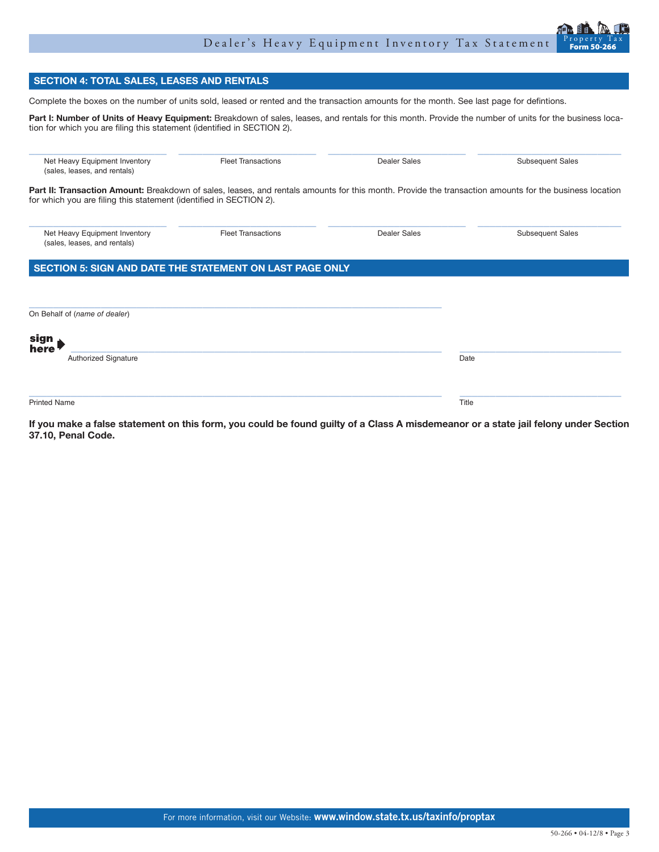# Dealer's Heavy Equipment Inventory Tax Statement



# **SECTION 4: TOTAL SALES, LEASES AND RENTALS**

Complete the boxes on the number of units sold, leased or rented and the transaction amounts for the month. See last page for defintions.

Part I: Number of Units of Heavy Equipment: Breakdown of sales, leases, and rentals for this month. Provide the number of units for the business location for which you are filing this statement (identified in SECTION 2).

| Net Heavy Equipment Inventory<br>(sales, leases, and rentals)                                                                                                                                                                | <b>Fleet Transactions</b> | Dealer Sales        | <b>Subsequent Sales</b> |
|------------------------------------------------------------------------------------------------------------------------------------------------------------------------------------------------------------------------------|---------------------------|---------------------|-------------------------|
| Part II: Transaction Amount: Breakdown of sales, leases, and rentals amounts for this month. Provide the transaction amounts for the business location<br>for which you are filing this statement (identified in SECTION 2). |                           |                     |                         |
| Net Heavy Equipment Inventory<br>(sales, leases, and rentals)                                                                                                                                                                | <b>Fleet Transactions</b> | <b>Dealer Sales</b> | <b>Subsequent Sales</b> |
| SECTION 5: SIGN AND DATE THE STATEMENT ON LAST PAGE ONLY                                                                                                                                                                     |                           |                     |                         |
| On Behalf of (name of dealer)                                                                                                                                                                                                |                           |                     |                         |
| sign<br>here                                                                                                                                                                                                                 |                           |                     |                         |
| Authorized Signature                                                                                                                                                                                                         |                           | Date                |                         |
| <b>Printed Name</b>                                                                                                                                                                                                          |                           | Title               |                         |

**If you make a false statement on this form, you could be found guilty of a Class A misdemeanor or a state jail felony under Section 37.10, Penal Code.**